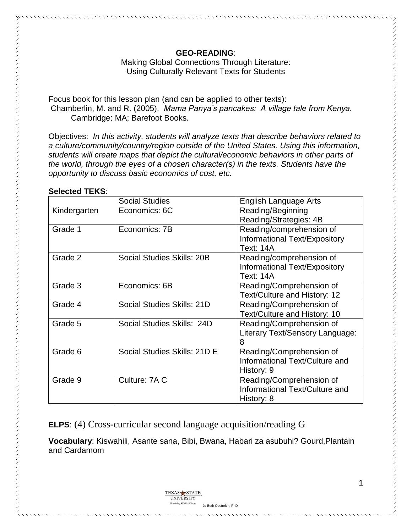#### **GEO-READING**:

Making Global Connections Through Literature: Using Culturally Relevant Texts for Students

Focus book for this lesson plan (and can be applied to other texts): Chamberlin, M. and R. (2005). *Mama Panya's pancakes: A village tale from Kenya.* Cambridge: MA; Barefoot Books*.*

Objectives: *In this activity, students will analyze texts that describe behaviors related to a culture/community/country/region outside of the United States. Using this information, students will create maps that depict the cultural/economic behaviors in other parts of the world, through the eyes of a chosen character(s) in the texts. Students have the opportunity to discuss basic economics of cost, etc.*

#### **Selected TEKS**:

|              | <b>Social Studies</b>        | English Language Arts           |
|--------------|------------------------------|---------------------------------|
| Kindergarten | Economics: 6C                | Reading/Beginning               |
|              |                              | Reading/Strategies: 4B          |
| Grade 1      | Economics: 7B                | Reading/comprehension of        |
|              |                              | Informational Text/Expository   |
|              |                              | <b>Text: 14A</b>                |
| Grade 2      | Social Studies Skills: 20B   | Reading/comprehension of        |
|              |                              | Informational Text/Expository   |
|              |                              | <b>Text: 14A</b>                |
| Grade 3      | Economics: 6B                | Reading/Comprehension of        |
|              |                              | Text/Culture and History: 12    |
| Grade 4      | Social Studies Skills: 21D   | Reading/Comprehension of        |
|              |                              | Text/Culture and History: 10    |
| Grade 5      | Social Studies Skills: 24D   | Reading/Comprehension of        |
|              |                              | Literary Text/Sensory Language: |
|              |                              | 8                               |
| Grade 6      | Social Studies Skills: 21D E | Reading/Comprehension of        |
|              |                              | Informational Text/Culture and  |
|              |                              | History: 9                      |
| Grade 9      | Culture: 7A C                | Reading/Comprehension of        |
|              |                              | Informational Text/Culture and  |
|              |                              | History: 8                      |

**ELPS**: (4) Cross-curricular second language acquisition/reading G

**Vocabulary**: Kiswahili, Asante sana, Bibi, Bwana, Habari za asubuhi? Gourd,Plantain and Cardamom

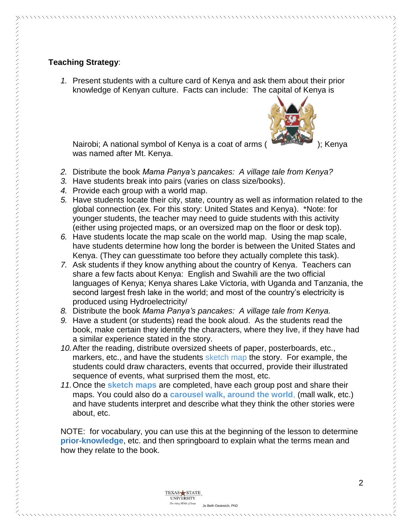*1.* Present students with a culture card of Kenya and ask them about their prior knowledge of Kenyan culture. Facts can include: The capital of Kenya is



Nairobi; A national symbol of Kenya is a coat of arms ( ); Kenya was named after Mt. Kenya.

- *2.* Distribute the book *Mama Panya's pancakes: A village tale from Kenya?*
- *3.* Have students break into pairs (varies on class size/books).
- *4.* Provide each group with a world map.

The rising STAR of Texas Jo Beth Oestreich, PhD

- *5.* Have students locate their city, state, country as well as information related to the global connection (ex. For this story: United States and Kenya). \*Note: for younger students, the teacher may need to guide students with this activity (either using projected maps, or an oversized map on the floor or desk top).
- *6.* Have students locate the map scale on the world map. Using the map scale, have students determine how long the border is between the United States and Kenya. (They can guesstimate too before they actually complete this task).
- *7.* Ask students if they know anything about the country of Kenya. Teachers can share a few facts about Kenya: English and Swahili are the two official languages of Kenya; Kenya shares Lake Victoria, with Uganda and Tanzania, the second largest fresh lake in the world; and most of the country's electricity is produced using Hydroelectricity/
- *8.* Distribute the book *Mama Panya's pancakes: A village tale from Kenya.*
- *9.* Have a student (or students) read the book aloud. As the students read the book, make certain they identify the characters, where they live, if they have had a similar experience stated in the story.
- *10.*After the reading, distribute oversized sheets of paper, posterboards, etc., markers, etc., and have the students sketch map the story. For example, the students could draw characters, events that occurred, provide their illustrated sequence of events, what surprised them the most, etc.
- *11.*Once the **sketch maps** are completed, have each group post and share their maps. You could also do a **carousel walk, around the world**, (mall walk, etc.) and have students interpret and describe what they think the other stories were about, etc.

NOTE: for vocabulary, you can use this at the beginning of the lesson to determine **prior-knowledge**, etc. and then springboard to explain what the terms mean and how they relate to the book.

> TEXAS STATE UNIVERSITY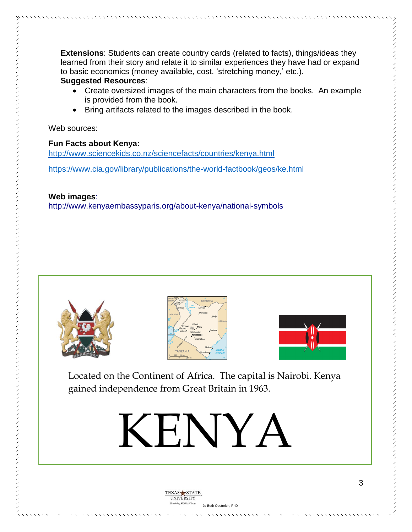**Extensions**: Students can create country cards (related to facts), things/ideas they learned from their story and relate it to similar experiences they have had or expand to basic economics (money available, cost, 'stretching money,' etc.).

## **Suggested Resources**:

- Create oversized images of the main characters from the books. An example is provided from the book.
- Bring artifacts related to the images described in the book.

Web sources:

# **Fun Facts about Kenya:**

<http://www.sciencekids.co.nz/sciencefacts/countries/kenya.html>

<https://www.cia.gov/library/publications/the-world-factbook/geos/ke.html>

### **Web images**:

http://www.kenyaembassyparis.org/about-kenya/national-symbols







Located on the Continent of Africa. The capital is Nairobi. Kenya gained independence from Great Britain in 1963.